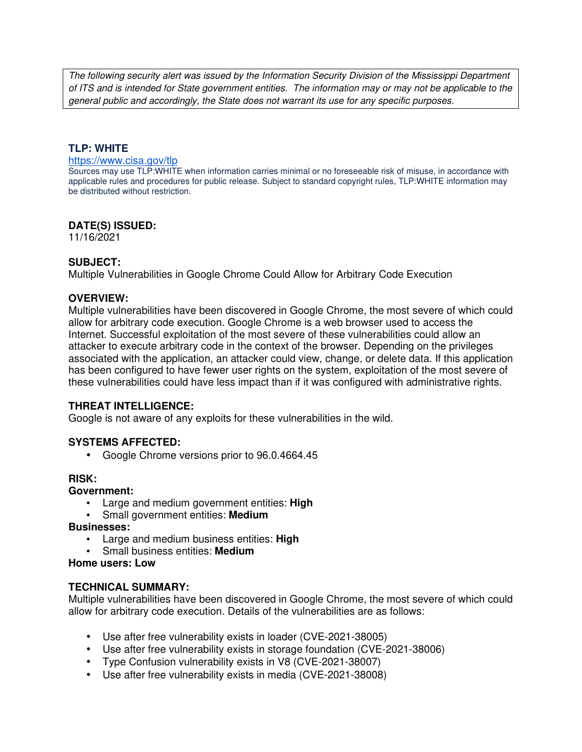The following security alert was issued by the Information Security Division of the Mississippi Department of ITS and is intended for State government entities. The information may or may not be applicable to the general public and accordingly, the State does not warrant its use for any specific purposes.

### **TLP: WHITE**

#### https://www.cisa.gov/tlp

Sources may use TLP:WHITE when information carries minimal or no foreseeable risk of misuse, in accordance with applicable rules and procedures for public release. Subject to standard copyright rules, TLP:WHITE information may be distributed without restriction.

### **DATE(S) ISSUED:**

11/16/2021

### **SUBJECT:**

Multiple Vulnerabilities in Google Chrome Could Allow for Arbitrary Code Execution

### **OVERVIEW:**

Multiple vulnerabilities have been discovered in Google Chrome, the most severe of which could allow for arbitrary code execution. Google Chrome is a web browser used to access the Internet. Successful exploitation of the most severe of these vulnerabilities could allow an attacker to execute arbitrary code in the context of the browser. Depending on the privileges associated with the application, an attacker could view, change, or delete data. If this application has been configured to have fewer user rights on the system, exploitation of the most severe of these vulnerabilities could have less impact than if it was configured with administrative rights.

#### **THREAT INTELLIGENCE:**

Google is not aware of any exploits for these vulnerabilities in the wild.

### **SYSTEMS AFFECTED:**

• Google Chrome versions prior to 96.0.4664.45

#### **RISK:**

#### **Government:**

- Large and medium government entities: **High**
- Small government entities: **Medium**

#### **Businesses:**

- Large and medium business entities: **High**
- Small business entities: **Medium**

### **Home users: Low**

#### **TECHNICAL SUMMARY:**

Multiple vulnerabilities have been discovered in Google Chrome, the most severe of which could allow for arbitrary code execution. Details of the vulnerabilities are as follows:

- Use after free vulnerability exists in loader (CVE-2021-38005)
- Use after free vulnerability exists in storage foundation (CVE-2021-38006)
- Type Confusion vulnerability exists in V8 (CVE-2021-38007)
- Use after free vulnerability exists in media (CVE-2021-38008)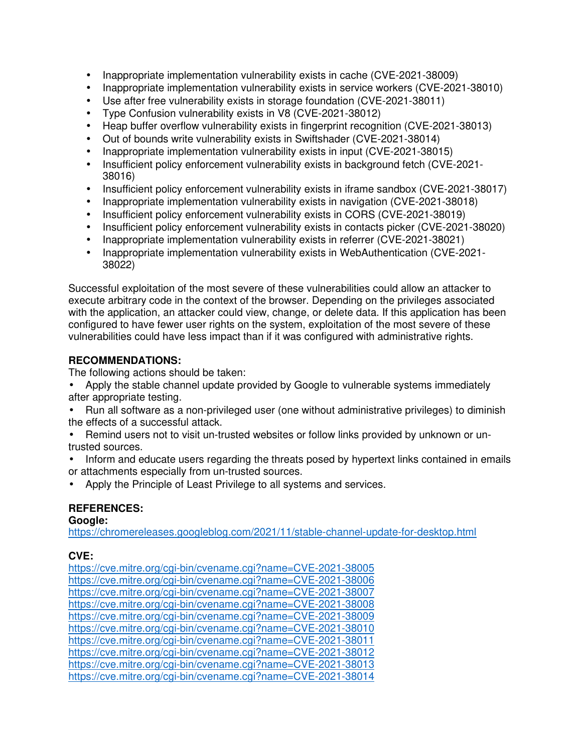- Inappropriate implementation vulnerability exists in cache (CVE-2021-38009)
- Inappropriate implementation vulnerability exists in service workers (CVE-2021-38010)
- Use after free vulnerability exists in storage foundation (CVE-2021-38011)
- Type Confusion vulnerability exists in V8 (CVE-2021-38012)
- Heap buffer overflow vulnerability exists in fingerprint recognition (CVE-2021-38013)
- Out of bounds write vulnerability exists in Swiftshader (CVE-2021-38014)
- Inappropriate implementation vulnerability exists in input (CVE-2021-38015)
- Insufficient policy enforcement vulnerability exists in background fetch (CVE-2021- 38016)
- Insufficient policy enforcement vulnerability exists in iframe sandbox (CVE-2021-38017)
- Inappropriate implementation vulnerability exists in navigation (CVE-2021-38018)
- Insufficient policy enforcement vulnerability exists in CORS (CVE-2021-38019)
- Insufficient policy enforcement vulnerability exists in contacts picker (CVE-2021-38020)
- Inappropriate implementation vulnerability exists in referrer (CVE-2021-38021)
- Inappropriate implementation vulnerability exists in WebAuthentication (CVE-2021- 38022)

Successful exploitation of the most severe of these vulnerabilities could allow an attacker to execute arbitrary code in the context of the browser. Depending on the privileges associated with the application, an attacker could view, change, or delete data. If this application has been configured to have fewer user rights on the system, exploitation of the most severe of these vulnerabilities could have less impact than if it was configured with administrative rights.

## **RECOMMENDATIONS:**

The following actions should be taken:

- Apply the stable channel update provided by Google to vulnerable systems immediately after appropriate testing.
- Run all software as a non-privileged user (one without administrative privileges) to diminish the effects of a successful attack.
- Remind users not to visit un-trusted websites or follow links provided by unknown or untrusted sources.
- Inform and educate users regarding the threats posed by hypertext links contained in emails or attachments especially from un-trusted sources.
- Apply the Principle of Least Privilege to all systems and services.

# **REFERENCES:**

**Google:**

https://chromereleases.googleblog.com/2021/11/stable-channel-update-for-desktop.html

# **CVE:**

https://cve.mitre.org/cgi-bin/cvename.cgi?name=CVE-2021-38005 https://cve.mitre.org/cgi-bin/cvename.cgi?name=CVE-2021-38006 https://cve.mitre.org/cgi-bin/cvename.cgi?name=CVE-2021-38007 https://cve.mitre.org/cgi-bin/cvename.cgi?name=CVE-2021-38008 https://cve.mitre.org/cgi-bin/cvename.cgi?name=CVE-2021-38009 https://cve.mitre.org/cgi-bin/cvename.cgi?name=CVE-2021-38010 https://cve.mitre.org/cgi-bin/cvename.cgi?name=CVE-2021-38011 https://cve.mitre.org/cgi-bin/cvename.cgi?name=CVE-2021-38012 https://cve.mitre.org/cgi-bin/cvename.cgi?name=CVE-2021-38013 https://cve.mitre.org/cgi-bin/cvename.cgi?name=CVE-2021-38014